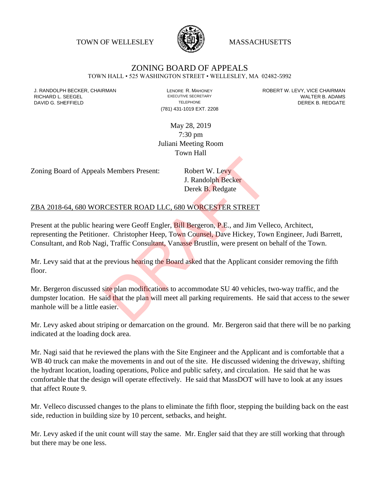TOWN OF WELLESLEY **WASSACHUSETTS** 



## ZONING BOARD OF APPEALS

TOWN HALL • 525 WASHINGTON STREET • WELLESLEY, MA 02482-5992

(781) 431-1019 EXT. 2208

J. RANDOLPH BECKER, CHAIRMAN LAND LENORE R. MAHONEY LENORE RESOLUTIVE SECRETARY LEVY, VICE CHAIRMAN LAND RISPO<br>RICHARD L. SFFGFI LADAMS RICHARD L. SEEGEL **EXECUTIVE SECRETARY CONTROLL SEEGETARY** WALTER B. ADAMS DAVID G. SHEFFIELD **TELEPHONE** TELEPHONE TELEPHONE **TELEPHONE DEREK B. REDGATE** 

> May 28, 2019 7:30 pm Juliani Meeting Room Town Hall

Zoning Board of Appeals Members Present: Robert W. Levy

J. Randolph Becker Derek B. Redgate

## ZBA 2018-64, 680 WORCESTER ROAD LLC, 680 WORCESTER STREET

Present at the public hearing were Geoff Engler, Bill Bergeron, P.E., and Jim Velleco, Architect, representing the Petitioner. Christopher Heep, Town Counsel, Dave Hickey, Town Engineer, Judi Barrett, Consultant, and Rob Nagi, Traffic Consultant, Vanasse Brustlin, were present on behalf of the Town.

Mr. Levy said that at the previous hearing the Board asked that the Applicant consider removing the fifth floor.

Mr. Bergeron discussed site plan modifications to accommodate SU 40 vehicles, two-way traffic, and the dumpster location. He said that the plan will meet all parking requirements. He said that access to the sewer manhole will be a little easier. S Members Present:<br>
J. Randolph Becker<br>
Derek B. Redgate<br>
CESTER ROAD LLC, 680 WORCESTER STREET<br>
ring were Geoff Engler, Bill Bergeron, P.E., and Jim Vell<br>
r. Christopher Heep, Town Counsel, Dave Hickey, Tow<br>
i, Traffic Co

Mr. Levy asked about striping or demarcation on the ground. Mr. Bergeron said that there will be no parking indicated at the loading dock area.

Mr. Nagi said that he reviewed the plans with the Site Engineer and the Applicant and is comfortable that a WB 40 truck can make the movements in and out of the site. He discussed widening the driveway, shifting the hydrant location, loading operations, Police and public safety, and circulation. He said that he was comfortable that the design will operate effectively. He said that MassDOT will have to look at any issues that affect Route 9.

Mr. Velleco discussed changes to the plans to eliminate the fifth floor, stepping the building back on the east side, reduction in building size by 10 percent, setbacks, and height.

Mr. Levy asked if the unit count will stay the same. Mr. Engler said that they are still working that through but there may be one less.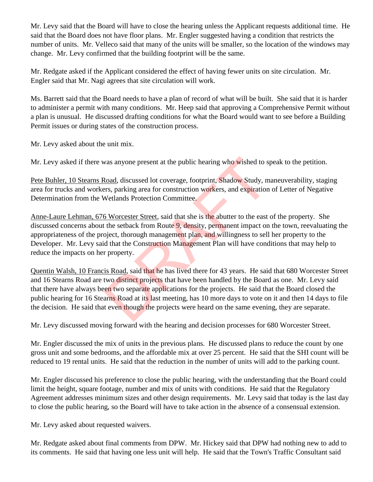Mr. Levy said that the Board will have to close the hearing unless the Applicant requests additional time. He said that the Board does not have floor plans. Mr. Engler suggested having a condition that restricts the number of units. Mr. Velleco said that many of the units will be smaller, so the location of the windows may change. Mr. Levy confirmed that the building footprint will be the same.

Mr. Redgate asked if the Applicant considered the effect of having fewer units on site circulation. Mr. Engler said that Mr. Nagi agrees that site circulation will work.

Ms. Barrett said that the Board needs to have a plan of record of what will be built. She said that it is harder to administer a permit with many conditions. Mr. Heep said that approving a Comprehensive Permit without a plan is unusual. He discussed drafting conditions for what the Board would want to see before a Building Permit issues or during states of the construction process.

Mr. Levy asked about the unit mix.

Mr. Levy asked if there was anyone present at the public hearing who wished to speak to the petition.

Pete Buhler, 10 Stearns Road, discussed lot coverage, footprint, Shadow Study, maneuverability, staging area for trucks and workers, parking area for construction workers, and expiration of Letter of Negative Determination from the Wetlands Protection Committee.

Anne-Laure Lehman, 676 Worcester Street, said that she is the abutter to the east of the property. She discussed concerns about the setback from Route 9, density, permanent impact on the town, reevaluating the appropriateness of the project, thorough management plan, and willingness to sell her property to the Developer. Mr. Levy said that the Construction Management Plan will have conditions that may help to reduce the impacts on her property. was anyone present at the public hearing who wished to s<br>
<u>Road</u>, discussed lot coverage, footprint, Shadow Study, m<br>
DRAFT EXECTS, parking area for construction workers, and expiration<br>
Metlands Protection Committee.<br>
6 W

Quentin Walsh, 10 Francis Road, said that he has lived there for 43 years. He said that 680 Worcester Street and 16 Stearns Road are two distinct projects that have been handled by the Board as one. Mr. Levy said that there have always been two separate applications for the projects. He said that the Board closed the public hearing for 16 Stearns Road at its last meeting, has 10 more days to vote on it and then 14 days to file the decision. He said that even though the projects were heard on the same evening, they are separate.

Mr. Levy discussed moving forward with the hearing and decision processes for 680 Worcester Street.

Mr. Engler discussed the mix of units in the previous plans. He discussed plans to reduce the count by one gross unit and some bedrooms, and the affordable mix at over 25 percent. He said that the SHI count will be reduced to 19 rental units. He said that the reduction in the number of units will add to the parking count.

Mr. Engler discussed his preference to close the public hearing, with the understanding that the Board could limit the height, square footage, number and mix of units with conditions. He said that the Regulatory Agreement addresses minimum sizes and other design requirements. Mr. Levy said that today is the last day to close the public hearing, so the Board will have to take action in the absence of a consensual extension.

Mr. Levy asked about requested waivers.

Mr. Redgate asked about final comments from DPW. Mr. Hickey said that DPW had nothing new to add to its comments. He said that having one less unit will help. He said that the Town's Traffic Consultant said